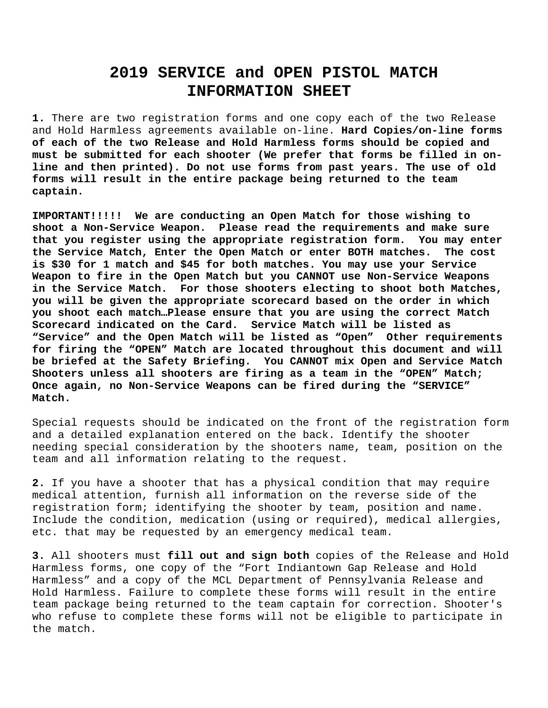## **2019 SERVICE and OPEN PISTOL MATCH INFORMATION SHEET**

**1.** There are two registration forms and one copy each of the two Release and Hold Harmless agreements available on-line. **Hard Copies/on-line forms of each of the two Release and Hold Harmless forms should be copied and must be submitted for each shooter (We prefer that forms be filled in online and then printed). Do not use forms from past years. The use of old forms will result in the entire package being returned to the team captain.**

**IMPORTANT!!!!! We are conducting an Open Match for those wishing to shoot a Non-Service Weapon. Please read the requirements and make sure that you register using the appropriate registration form. You may enter the Service Match, Enter the Open Match or enter BOTH matches. The cost is \$30 for 1 match and \$45 for both matches. You may use your Service Weapon to fire in the Open Match but you CANNOT use Non-Service Weapons in the Service Match. For those shooters electing to shoot both Matches, you will be given the appropriate scorecard based on the order in which you shoot each match…Please ensure that you are using the correct Match Scorecard indicated on the Card. Service Match will be listed as "Service" and the Open Match will be listed as "Open" Other requirements for firing the "OPEN" Match are located throughout this document and will be briefed at the Safety Briefing. You CANNOT mix Open and Service Match Shooters unless all shooters are firing as a team in the "OPEN" Match; Once again, no Non-Service Weapons can be fired during the "SERVICE" Match.**

Special requests should be indicated on the front of the registration form and a detailed explanation entered on the back. Identify the shooter needing special consideration by the shooters name, team, position on the team and all information relating to the request.

**2.** If you have a shooter that has a physical condition that may require medical attention, furnish all information on the reverse side of the registration form; identifying the shooter by team, position and name. Include the condition, medication (using or required), medical allergies, etc. that may be requested by an emergency medical team.

**3.** All shooters must **fill out and sign both** copies of the Release and Hold Harmless forms, one copy of the "Fort Indiantown Gap Release and Hold Harmless" and a copy of the MCL Department of Pennsylvania Release and Hold Harmless. Failure to complete these forms will result in the entire team package being returned to the team captain for correction. Shooter's who refuse to complete these forms will not be eligible to participate in the match.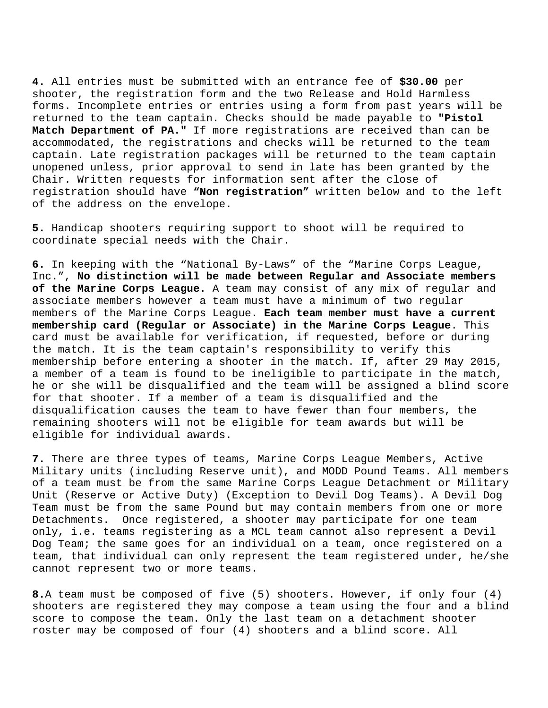**4.** All entries must be submitted with an entrance fee of **\$30.00** per shooter, the registration form and the two Release and Hold Harmless forms. Incomplete entries or entries using a form from past years will be returned to the team captain. Checks should be made payable to **"Pistol Match Department of PA."** If more registrations are received than can be accommodated, the registrations and checks will be returned to the team captain. Late registration packages will be returned to the team captain unopened unless, prior approval to send in late has been granted by the Chair. Written requests for information sent after the close of registration should have **"Non registration"** written below and to the left of the address on the envelope.

**5.** Handicap shooters requiring support to shoot will be required to coordinate special needs with the Chair.

**6.** In keeping with the "National By-Laws" of the "Marine Corps League, Inc.", **No distinction will be made between Regular and Associate members of the Marine Corps League**. A team may consist of any mix of regular and associate members however a team must have a minimum of two regular members of the Marine Corps League. **Each team member must have a current membership card (Regular or Associate) in the Marine Corps League**. This card must be available for verification, if requested, before or during the match. It is the team captain's responsibility to verify this membership before entering a shooter in the match. If, after 29 May 2015, a member of a team is found to be ineligible to participate in the match, he or she will be disqualified and the team will be assigned a blind score for that shooter. If a member of a team is disqualified and the disqualification causes the team to have fewer than four members, the remaining shooters will not be eligible for team awards but will be eligible for individual awards.

**7.** There are three types of teams, Marine Corps League Members, Active Military units (including Reserve unit), and MODD Pound Teams. All members of a team must be from the same Marine Corps League Detachment or Military Unit (Reserve or Active Duty) (Exception to Devil Dog Teams). A Devil Dog Team must be from the same Pound but may contain members from one or more Detachments. Once registered, a shooter may participate for one team only, i.e. teams registering as a MCL team cannot also represent a Devil Dog Team; the same goes for an individual on a team, once registered on a team, that individual can only represent the team registered under, he/she cannot represent two or more teams.

**8.**A team must be composed of five (5) shooters. However, if only four (4) shooters are registered they may compose a team using the four and a blind score to compose the team. Only the last team on a detachment shooter roster may be composed of four (4) shooters and a blind score. All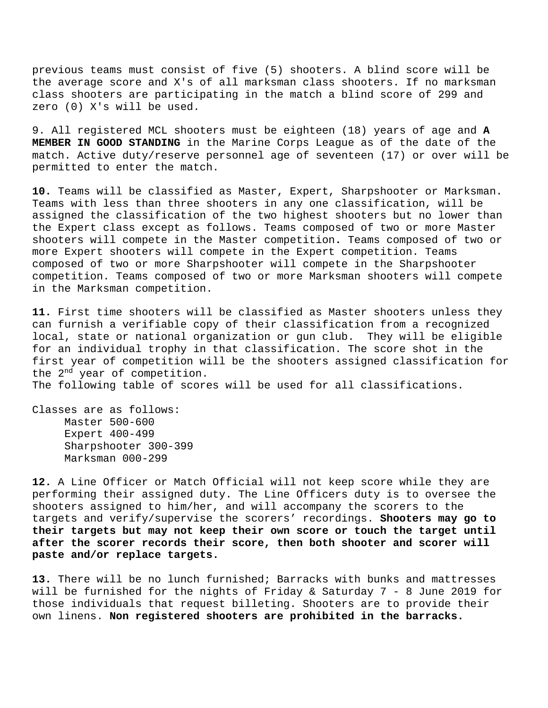previous teams must consist of five (5) shooters. A blind score will be the average score and X's of all marksman class shooters. If no marksman class shooters are participating in the match a blind score of 299 and zero (0) X's will be used.

9. All registered MCL shooters must be eighteen (18) years of age and **A MEMBER IN GOOD STANDING** in the Marine Corps League as of the date of the match. Active duty/reserve personnel age of seventeen (17) or over will be permitted to enter the match.

**10.** Teams will be classified as Master, Expert, Sharpshooter or Marksman. Teams with less than three shooters in any one classification, will be assigned the classification of the two highest shooters but no lower than the Expert class except as follows. Teams composed of two or more Master shooters will compete in the Master competition**.** Teams composed of two or more Expert shooters will compete in the Expert competition. Teams composed of two or more Sharpshooter will compete in the Sharpshooter competition. Teams composed of two or more Marksman shooters will compete in the Marksman competition.

**11.** First time shooters will be classified as Master shooters unless they can furnish a verifiable copy of their classification from a recognized local, state or national organization or gun club. They will be eligible for an individual trophy in that classification. The score shot in the first year of competition will be the shooters assigned classification for the 2<sup>nd</sup> year of competition.

The following table of scores will be used for all classifications.

Classes are as follows: Master 500-600 Expert 400-499 Sharpshooter 300-399 Marksman 000-299

**12.** A Line Officer or Match Official will not keep score while they are performing their assigned duty. The Line Officers duty is to oversee the shooters assigned to him/her, and will accompany the scorers to the targets and verify/supervise the scorers' recordings. **Shooters may go to their targets but may not keep their own score or touch the target until after the scorer records their score, then both shooter and scorer will paste and/or replace targets.**

**13.** There will be no lunch furnished; Barracks with bunks and mattresses will be furnished for the nights of Friday & Saturday 7 - 8 June 2019 for those individuals that request billeting. Shooters are to provide their own linens. **Non registered shooters are prohibited in the barracks.**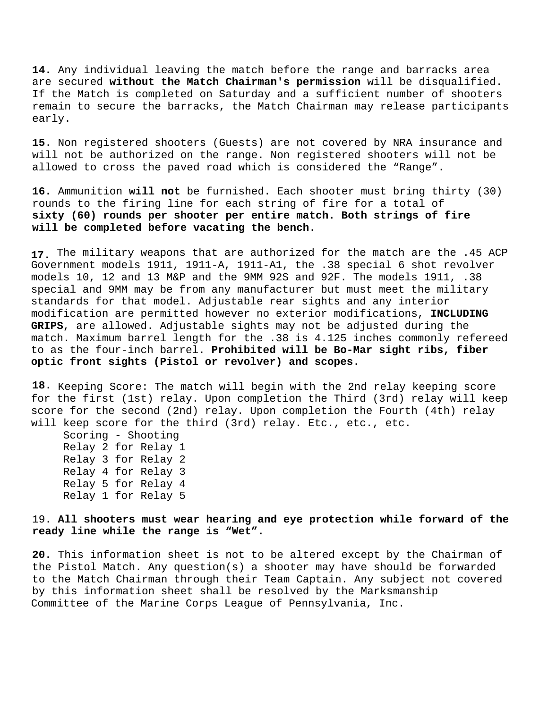**14.** Any individual leaving the match before the range and barracks area are secured **without the Match Chairman's permission** will be disqualified. If the Match is completed on Saturday and a sufficient number of shooters remain to secure the barracks, the Match Chairman may release participants early.

**15**. Non registered shooters (Guests) are not covered by NRA insurance and will not be authorized on the range. Non registered shooters will not be allowed to cross the paved road which is considered the "Range".

**16.** Ammunition **will not** be furnished. Each shooter must bring thirty (30) rounds to the firing line for each string of fire for a total of **sixty (60) rounds per shooter per entire match. Both strings of fire will be completed before vacating the bench.**

**17.** The military weapons that are authorized for the match are the .45 ACP Government models 1911, 1911-A, 1911-A1, the .38 special 6 shot revolver models 10, 12 and 13 M&P and the 9MM 92S and 92F. The models 1911, .38 special and 9MM may be from any manufacturer but must meet the military standards for that model. Adjustable rear sights and any interior modification are permitted however no exterior modifications, **INCLUDING GRIPS**, are allowed. Adjustable sights may not be adjusted during the match. Maximum barrel length for the .38 is 4.125 inches commonly refereed to as the four-inch barrel. **Prohibited will be Bo-Mar sight ribs, fiber optic front sights (Pistol or revolver) and scopes.**

**18**. Keeping Score: The match will begin with the 2nd relay keeping score for the first (1st) relay. Upon completion the Third (3rd) relay will keep score for the second (2nd) relay. Upon completion the Fourth (4th) relay will keep score for the third (3rd) relay. Etc., etc., etc.

Scoring - Shooting Relay 2 for Relay 1 Relay 3 for Relay 2 Relay 4 for Relay 3 Relay 5 for Relay 4 Relay 1 for Relay 5

19. **All shooters must wear hearing and eye protection while forward of the ready line while the range is "Wet".**

**20.** This information sheet is not to be altered except by the Chairman of the Pistol Match. Any question(s) a shooter may have should be forwarded to the Match Chairman through their Team Captain. Any subject not covered by this information sheet shall be resolved by the Marksmanship Committee of the Marine Corps League of Pennsylvania, Inc.